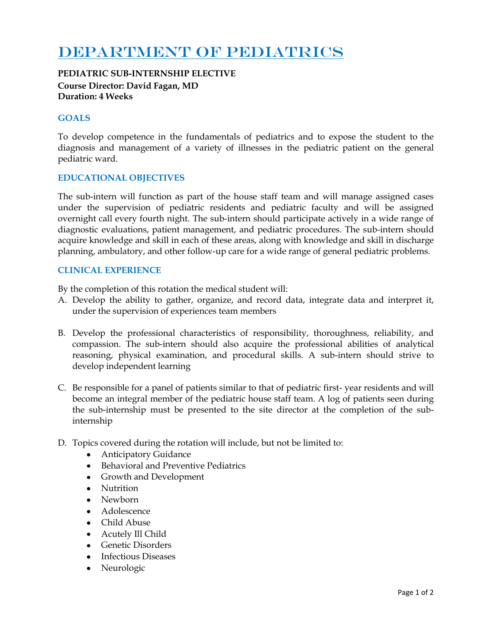# DEPARTMENT OF PEDIATRICS

**PEDIATRIC SUB-INTERNSHIP ELECTIVE Course Director: David Fagan, MD Duration: 4 Weeks**

## **GOALS**

To develop competence in the fundamentals of pediatrics and to expose the student to the diagnosis and management of a variety of illnesses in the pediatric patient on the general pediatric ward.

#### **EDUCATIONAL OBJECTIVES**

The sub-intern will function as part of the house staff team and will manage assigned cases under the supervision of pediatric residents and pediatric faculty and will be assigned overnight call every fourth night. The sub-intern should participate actively in a wide range of diagnostic evaluations, patient management, and pediatric procedures. The sub-intern should acquire knowledge and skill in each of these areas, along with knowledge and skill in discharge planning, ambulatory, and other follow-up care for a wide range of general pediatric problems.

#### **CLINICAL EXPERIENCE**

By the completion of this rotation the medical student will:

- A. Develop the ability to gather, organize, and record data, integrate data and interpret it, under the supervision of experiences team members
- B. Develop the professional characteristics of responsibility, thoroughness, reliability, and compassion. The sub-intern should also acquire the professional abilities of analytical reasoning, physical examination, and procedural skills. A sub-intern should strive to develop independent learning
- C. Be responsible for a panel of patients similar to that of pediatric first- year residents and will become an integral member of the pediatric house staff team. A log of patients seen during the sub-internship must be presented to the site director at the completion of the subinternship
- D. Topics covered during the rotation will include, but not be limited to:
	- Anticipatory Guidance  $\bullet$
	- Behavioral and Preventive Pediatrics
	- Growth and Development
	- Nutrition
	- Newborn
	- Adolescence
	- Child Abuse
	- Acutely Ill Child
	- Genetic Disorders
	- Infectious Diseases
	- Neurologic